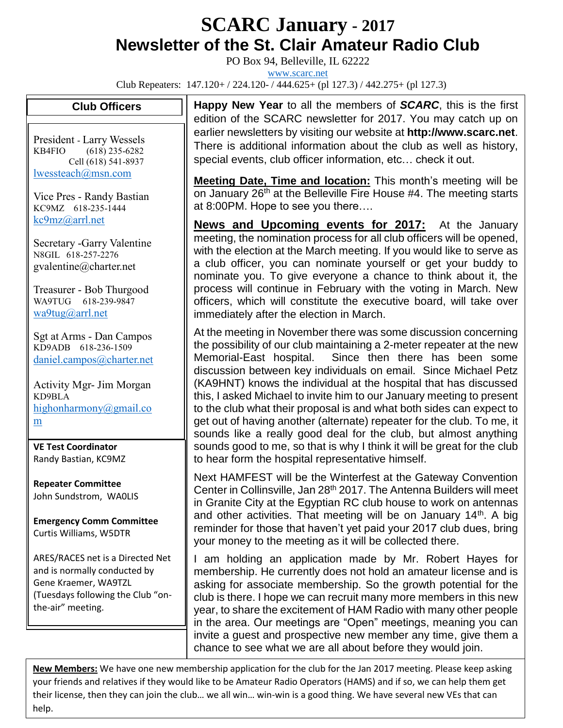## **SCARC January - <sup>2017</sup> Newsletter of the St. Clair Amateur Radio Club**

PO Box 94, Belleville, IL 62222

[www.scarc.net](http://www.scarc.net/)

Club Repeaters: 147.120+ / 224.120- / 444.625+ (pl 127.3) / 442.275+ (pl 127.3)

## **Club Officers**

President - Larry Wessels KB4FIO (618) 235-6282 Cell (618) 541-8937 [lwessteach@msn.com](mailto:lwessteach@msn.com)

Vice Pres - Randy Bastian KC9MZ 618-235-1444 [kc9mz@arrl.net](mailto:kc9mz@arrl.net)

Secretary -Garry Valentine N8GIL 618-257-2276 gvalentine@charter.net

Treasurer - Bob Thurgood WA9TUG 618-239-9847 [wa9tug@arrl.net](mailto:wa9tug@arrl.net)

Sgt at Arms - Dan Campos KD9ADB 618-236-1509 [daniel.campos@charter.net](mailto:daniel.campos@charter.net)

Activity Mgr- Jim Morgan KD9BLA [highonharmony@gmail.co](mailto:highonharmony@gmail.com) [m](mailto:highonharmony@gmail.com)

**VE Test Coordinator** Randy Bastian, KC9MZ

**Repeater Committee** John Sundstrom, WA0LIS

**Emergency Comm Committee** Curtis Williams, W5DTR

ARES/RACES net is a Directed Net and is normally conducted by Gene Kraemer, WA9TZL (Tuesdays following the Club "onthe-air" meeting.

**Happy New Year** to all the members of *SCARC*, this is the first edition of the SCARC newsletter for 2017. You may catch up on earlier newsletters by visiting our website at **http://www.scarc.net**. There is additional information about the club as well as history, special events, club officer information, etc… check it out.

**Meeting Date, Time and location:** This month's meeting will be on January 26<sup>th</sup> at the Belleville Fire House #4. The meeting starts at 8:00PM. Hope to see you there….

**News and Upcoming events for 2017:** At the January meeting, the nomination process for all club officers will be opened, with the election at the March meeting. If you would like to serve as a club officer, you can nominate yourself or get your buddy to nominate you. To give everyone a chance to think about it, the process will continue in February with the voting in March. New officers, which will constitute the executive board, will take over immediately after the election in March.

At the meeting in November there was some discussion concerning the possibility of our club maintaining a 2-meter repeater at the new Memorial-East hospital. Since then there has been some discussion between key individuals on email. Since Michael Petz (KA9HNT) knows the individual at the hospital that has discussed this, I asked Michael to invite him to our January meeting to present to the club what their proposal is and what both sides can expect to get out of having another (alternate) repeater for the club. To me, it sounds like a really good deal for the club, but almost anything sounds good to me, so that is why I think it will be great for the club to hear form the hospital representative himself.

Next HAMFEST will be the Winterfest at the Gateway Convention Center in Collinsville, Jan 28<sup>th</sup> 2017. The Antenna Builders will meet in Granite City at the Egyptian RC club house to work on antennas and other activities. That meeting will be on January 14<sup>th</sup>. A big reminder for those that haven't yet paid your 2017 club dues, bring your money to the meeting as it will be collected there.

I am holding an application made by Mr. Robert Hayes for membership. He currently does not hold an amateur license and is asking for associate membership. So the growth potential for the club is there. I hope we can recruit many more members in this new year, to share the excitement of HAM Radio with many other people in the area. Our meetings are "Open" meetings, meaning you can invite a guest and prospective new member any time, give them a chance to see what we are all about before they would join.

**New Members:** We have one new membership application for the club for the Jan 2017 meeting. Please keep asking your friends and relatives if they would like to be Amateur Radio Operators (HAMS) and if so, we can help them get their license, then they can join the club… we all win… win-win is a good thing. We have several new VEs that can help.